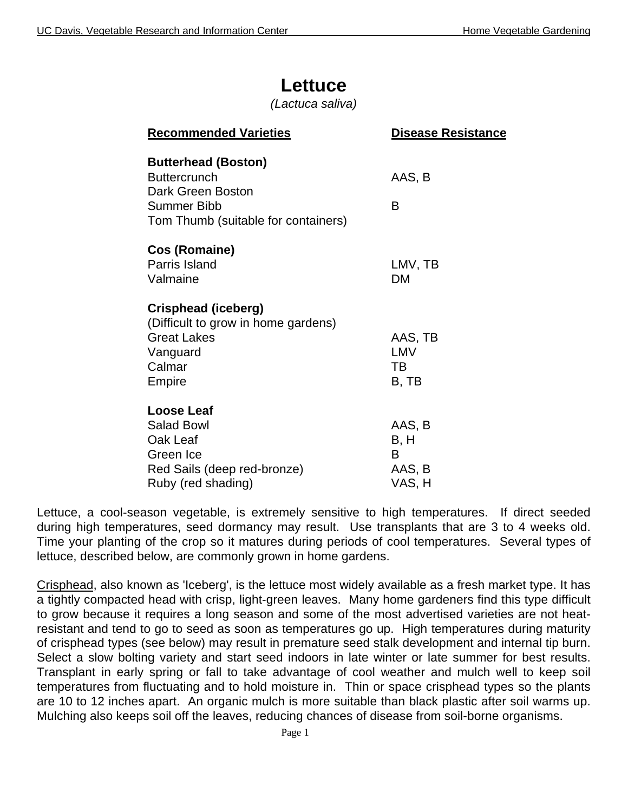## **Lettuce**

*(Lactuca saliva)*

| <b>Recommended Varieties</b>                                                                                                 | <b>Disease Resistance</b>               |
|------------------------------------------------------------------------------------------------------------------------------|-----------------------------------------|
| <b>Butterhead (Boston)</b><br><b>Buttercrunch</b><br>Dark Green Boston<br>Summer Bibb<br>Tom Thumb (suitable for containers) | AAS, B<br>B                             |
| Cos (Romaine)<br>Parris Island<br>Valmaine                                                                                   | LMV, TB<br><b>DM</b>                    |
| Crisphead (iceberg)<br>(Difficult to grow in home gardens)<br><b>Great Lakes</b><br>Vanguard<br>Calmar<br>Empire             | AAS, TB<br>LMV<br>TВ<br>B, TB           |
| Loose Leaf<br><b>Salad Bowl</b><br>Oak Leaf<br>Green Ice<br>Red Sails (deep red-bronze)<br>Ruby (red shading)                | AAS, B<br>B, H<br>B<br>AAS, B<br>VAS, H |

Lettuce, a cool-season vegetable, is extremely sensitive to high temperatures. If direct seeded during high temperatures, seed dormancy may result. Use transplants that are 3 to 4 weeks old. Time your planting of the crop so it matures during periods of cool temperatures. Several types of lettuce, described below, are commonly grown in home gardens.

Crisphead, also known as 'Iceberg', is the lettuce most widely available as a fresh market type. It has a tightly compacted head with crisp, light-green leaves. Many home gardeners find this type difficult to grow because it requires a long season and some of the most advertised varieties are not heatresistant and tend to go to seed as soon as temperatures go up. High temperatures during maturity of crisphead types (see below) may result in premature seed stalk development and internal tip burn. Select a slow bolting variety and start seed indoors in late winter or late summer for best results. Transplant in early spring or fall to take advantage of cool weather and mulch well to keep soil temperatures from fluctuating and to hold moisture in. Thin or space crisphead types so the plants are 10 to 12 inches apart. An organic mulch is more suitable than black plastic after soil warms up. Mulching also keeps soil off the leaves, reducing chances of disease from soil-borne organisms.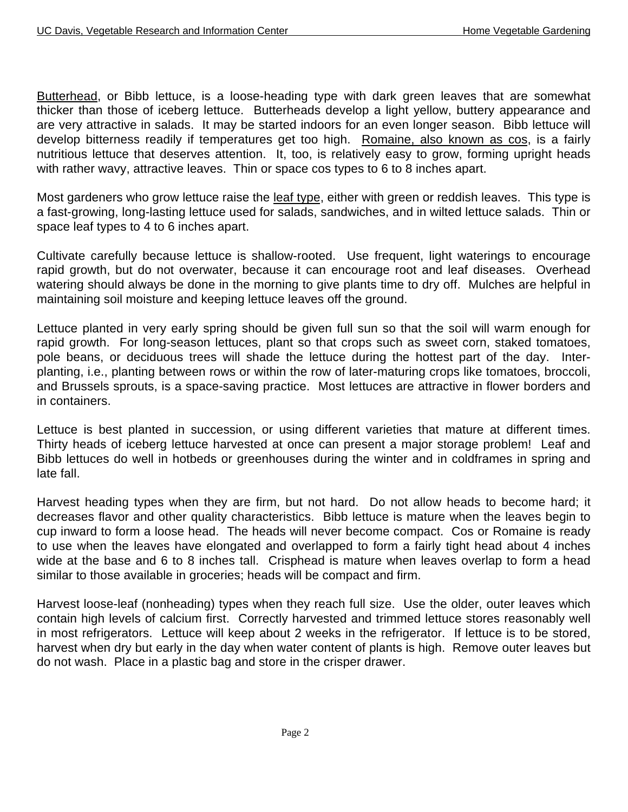Butterhead, or Bibb lettuce, is a loose-heading type with dark green leaves that are somewhat thicker than those of iceberg lettuce. Butterheads develop a light yellow, buttery appearance and are very attractive in salads. It may be started indoors for an even longer season. Bibb lettuce will develop bitterness readily if temperatures get too high. Romaine, also known as cos, is a fairly nutritious lettuce that deserves attention. It, too, is relatively easy to grow, forming upright heads with rather wavy, attractive leaves. Thin or space cos types to 6 to 8 inches apart.

Most gardeners who grow lettuce raise the leaf type, either with green or reddish leaves. This type is a fast-growing, long-lasting lettuce used for salads, sandwiches, and in wilted lettuce salads. Thin or space leaf types to 4 to 6 inches apart.

Cultivate carefully because lettuce is shallow-rooted. Use frequent, light waterings to encourage rapid growth, but do not overwater, because it can encourage root and leaf diseases. Overhead watering should always be done in the morning to give plants time to dry off. Mulches are helpful in maintaining soil moisture and keeping lettuce leaves off the ground.

Lettuce planted in very early spring should be given full sun so that the soil will warm enough for rapid growth. For long-season lettuces, plant so that crops such as sweet corn, staked tomatoes, pole beans, or deciduous trees will shade the lettuce during the hottest part of the day. Interplanting, i.e., planting between rows or within the row of later-maturing crops like tomatoes, broccoli, and Brussels sprouts, is a space-saving practice. Most lettuces are attractive in flower borders and in containers.

Lettuce is best planted in succession, or using different varieties that mature at different times. Thirty heads of iceberg lettuce harvested at once can present a major storage problem! Leaf and Bibb lettuces do well in hotbeds or greenhouses during the winter and in coldframes in spring and late fall.

Harvest heading types when they are firm, but not hard. Do not allow heads to become hard; it decreases flavor and other quality characteristics. Bibb lettuce is mature when the leaves begin to cup inward to form a loose head. The heads will never become compact. Cos or Romaine is ready to use when the leaves have elongated and overlapped to form a fairly tight head about 4 inches wide at the base and 6 to 8 inches tall. Crisphead is mature when leaves overlap to form a head similar to those available in groceries; heads will be compact and firm.

Harvest loose-leaf (nonheading) types when they reach full size. Use the older, outer leaves which contain high levels of calcium first. Correctly harvested and trimmed lettuce stores reasonably well in most refrigerators. Lettuce will keep about 2 weeks in the refrigerator. If lettuce is to be stored, harvest when dry but early in the day when water content of plants is high. Remove outer leaves but do not wash. Place in a plastic bag and store in the crisper drawer.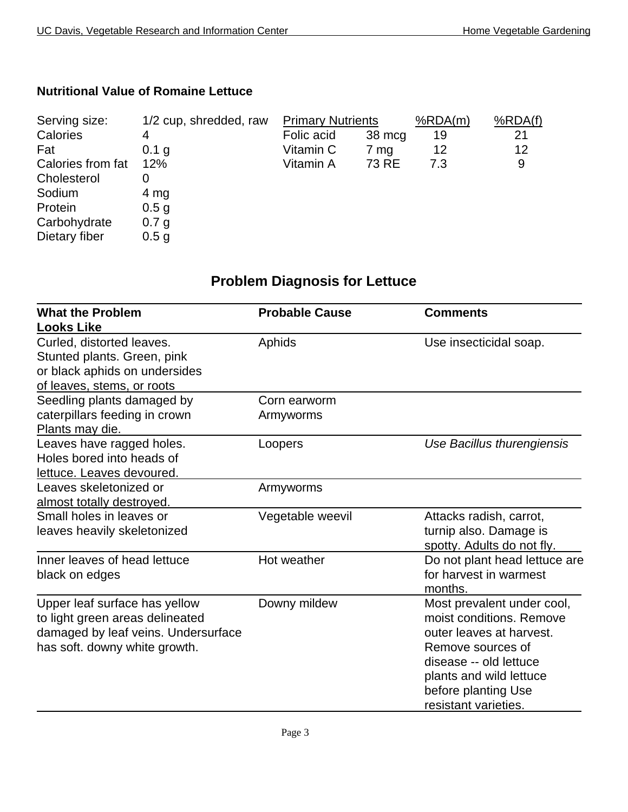## **Nutritional Value of Romaine Lettuce**

| 1/2 cup, shredded, raw |            |                 | %RDA(m)                  | %RDA(f) |
|------------------------|------------|-----------------|--------------------------|---------|
| 4                      | Folic acid | 38 mcg          | 19                       | 21      |
| 0.1 g                  | Vitamin C  | 7 <sub>mg</sub> | 12                       | 12      |
| 12%                    | Vitamin A  | 73 RE           | 7.3                      | 9       |
|                        |            |                 |                          |         |
| 4 mg                   |            |                 |                          |         |
| 0.5 <sub>g</sub>       |            |                 |                          |         |
| 0.7 g                  |            |                 |                          |         |
| 0.5 <sub>g</sub>       |            |                 |                          |         |
|                        |            |                 | <b>Primary Nutrients</b> |         |

## **Problem Diagnosis for Lettuce**

| <b>What the Problem</b>             | <b>Probable Cause</b> | <b>Comments</b>               |
|-------------------------------------|-----------------------|-------------------------------|
| <b>Looks Like</b>                   |                       |                               |
| Curled, distorted leaves.           | Aphids                | Use insecticidal soap.        |
| Stunted plants. Green, pink         |                       |                               |
| or black aphids on undersides       |                       |                               |
| of leaves, stems, or roots          |                       |                               |
| Seedling plants damaged by          | Corn earworm          |                               |
| caterpillars feeding in crown       | Armyworms             |                               |
| Plants may die.                     |                       |                               |
| Leaves have ragged holes.           | Loopers               | Use Bacillus thurengiensis    |
| Holes bored into heads of           |                       |                               |
| lettuce. Leaves devoured.           |                       |                               |
| Leaves skeletonized or              | Armyworms             |                               |
| almost totally destroyed.           |                       |                               |
| Small holes in leaves or            | Vegetable weevil      | Attacks radish, carrot,       |
| leaves heavily skeletonized         |                       | turnip also. Damage is        |
|                                     |                       | spotty. Adults do not fly.    |
| Inner leaves of head lettuce        | Hot weather           | Do not plant head lettuce are |
| black on edges                      |                       | for harvest in warmest        |
|                                     |                       | months.                       |
| Upper leaf surface has yellow       | Downy mildew          | Most prevalent under cool,    |
| to light green areas delineated     |                       | moist conditions. Remove      |
| damaged by leaf veins. Undersurface |                       | outer leaves at harvest.      |
| has soft. downy white growth.       |                       | Remove sources of             |
|                                     |                       | disease -- old lettuce        |
|                                     |                       | plants and wild lettuce       |
|                                     |                       | before planting Use           |
|                                     |                       | resistant varieties.          |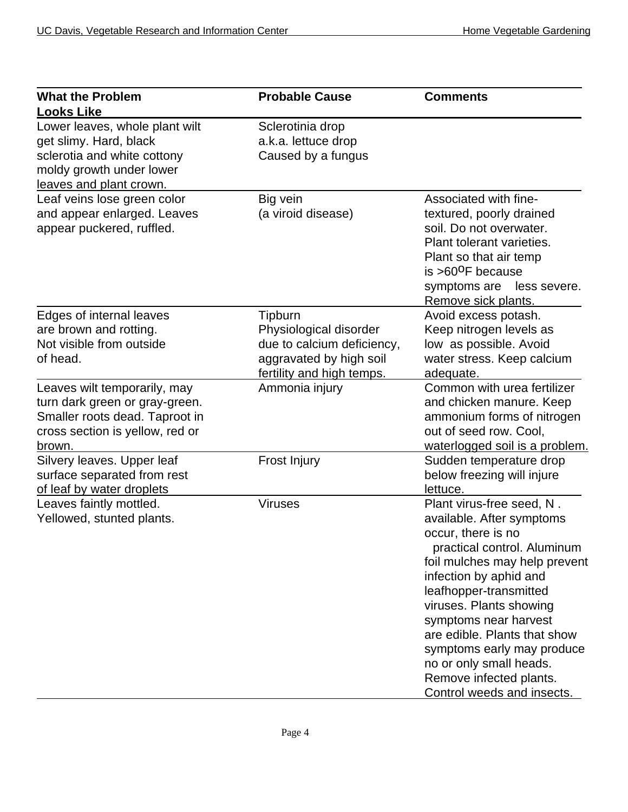| <b>What the Problem</b><br><b>Looks Like</b>                                                                                                   | <b>Probable Cause</b>                                                                                                   | <b>Comments</b>                                                                                                                                                                                                                                                                                                                                                                                        |
|------------------------------------------------------------------------------------------------------------------------------------------------|-------------------------------------------------------------------------------------------------------------------------|--------------------------------------------------------------------------------------------------------------------------------------------------------------------------------------------------------------------------------------------------------------------------------------------------------------------------------------------------------------------------------------------------------|
| Lower leaves, whole plant wilt<br>get slimy. Hard, black<br>sclerotia and white cottony<br>moldy growth under lower<br>leaves and plant crown. | Sclerotinia drop<br>a.k.a. lettuce drop<br>Caused by a fungus                                                           |                                                                                                                                                                                                                                                                                                                                                                                                        |
| Leaf veins lose green color<br>and appear enlarged. Leaves<br>appear puckered, ruffled.                                                        | Big vein<br>(a viroid disease)                                                                                          | Associated with fine-<br>textured, poorly drained<br>soil. Do not overwater.<br>Plant tolerant varieties.<br>Plant so that air temp<br>is $>60^{\circ}$ F because<br>symptoms are<br>less severe.<br>Remove sick plants.                                                                                                                                                                               |
| Edges of internal leaves<br>are brown and rotting.<br>Not visible from outside<br>of head.                                                     | Tipburn<br>Physiological disorder<br>due to calcium deficiency,<br>aggravated by high soil<br>fertility and high temps. | Avoid excess potash.<br>Keep nitrogen levels as<br>low as possible. Avoid<br>water stress. Keep calcium<br>adequate.                                                                                                                                                                                                                                                                                   |
| Leaves wilt temporarily, may<br>turn dark green or gray-green.<br>Smaller roots dead. Taproot in<br>cross section is yellow, red or<br>brown.  | Ammonia injury                                                                                                          | Common with urea fertilizer<br>and chicken manure. Keep<br>ammonium forms of nitrogen<br>out of seed row. Cool,<br>waterlogged soil is a problem.                                                                                                                                                                                                                                                      |
| Silvery leaves. Upper leaf<br>surface separated from rest<br>of leaf by water droplets                                                         | Frost Injury                                                                                                            | Sudden temperature drop<br>below freezing will injure<br>lettuce.                                                                                                                                                                                                                                                                                                                                      |
| Leaves faintly mottled.<br>Yellowed, stunted plants.                                                                                           | <b>Viruses</b>                                                                                                          | Plant virus-free seed, N.<br>available. After symptoms<br>occur, there is no<br>practical control. Aluminum<br>foil mulches may help prevent<br>infection by aphid and<br>leafhopper-transmitted<br>viruses. Plants showing<br>symptoms near harvest<br>are edible. Plants that show<br>symptoms early may produce<br>no or only small heads.<br>Remove infected plants.<br>Control weeds and insects. |